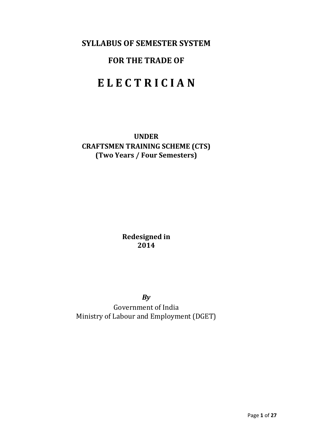## **SYLLABUS OF SEMESTER SYSTEM**

## **FOR THE TRADE OF**

# **E L E C T R I C I A N**

**UNDER CRAFTSMEN TRAINING SCHEME (CTS) (Two Years / Four Semesters)**

> **Redesigned in 2014**

> > *By*

Government of India Ministry of Labour and Employment (DGET)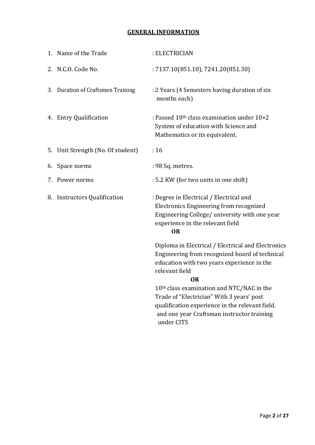## **GENERAL INFORMATION**

| 1. Name of the Trade              | : ELECTRICIAN                                                                                                                                                                        |
|-----------------------------------|--------------------------------------------------------------------------------------------------------------------------------------------------------------------------------------|
| 2. N.C.O. Code No.                | : 7137.10(851.10), 7241.20(851.30)                                                                                                                                                   |
| 3. Duration of Craftsmen Training | : 2 Years (4 Semesters having duration of six<br>months each)                                                                                                                        |
| <b>Entry Qualification</b><br>4.  | : Passed $10th$ class examination under $10+2$<br>System of education with Science and<br>Mathematics or its equivalent.                                                             |
| 5. Unit Strength (No. Of student) | :16                                                                                                                                                                                  |
| 6. Space norms                    | : 98 Sq. metres.                                                                                                                                                                     |
| Power norms<br>7.                 | : 5.2 KW (for two units in one shift)                                                                                                                                                |
| 8. Instructors Qualification      | : Degree in Electrical / Electrical and<br>Electronics Engineering from recognized<br>Engineering College/ university with one year<br>experience in the relevant field<br><b>OR</b> |
|                                   | Diploma in Electrical / Electrical and Electronics<br>Engineering from recognized board of technical<br>education with two years experience in the<br>relevant field<br><b>OR</b>    |
|                                   | 10th class examination and NTC/NAC in the                                                                                                                                            |
|                                   | Trade of "Electrician" With 3 years' post                                                                                                                                            |
|                                   | qualification experience in the relevant field.<br>and one year Craftsman instructor training                                                                                        |
|                                   | under CITS                                                                                                                                                                           |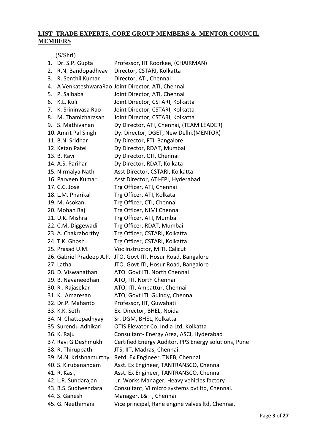## **LIST TRADE EXPERTS, CORE GROUP MEMBERS & MENTOR COUNCIL MEMBERS**

(S/Shri)

|    | 1. Dr. S.P. Gupta        | Professor, IIT Roorkee, (CHAIRMAN)                   |
|----|--------------------------|------------------------------------------------------|
| 2. | R.N. Bandopadhyay        | Director, CSTARI, Kolkatta                           |
| 3. | R. Senthil Kumar         | Director, ATI, Chennai                               |
| 4. |                          | A VenkateshwaraRao Joint Director, ATI, Chennai      |
|    | 5. P. Saibaba            | Joint Director, ATI, Chennai                         |
| 6. | K.L. Kuli                | Joint Director, CSTARI, Kolkatta                     |
| 7. | K. Srininvasa Rao        | Joint Director, CSTARI, Kolkatta                     |
| 8. | M. Thamizharasan         | Joint Director, CSTARI, Kolkatta                     |
|    | 9. S. Mathivanan         | Dy Director, ATI, Chennai, (TEAM LEADER)             |
|    | 10. Amrit Pal Singh      | Dy. Director, DGET, New Delhi.(MENTOR)               |
|    | 11. B.N. Sridhar         | Dy Director, FTI, Bangalore                          |
|    | 12. Ketan Patel          | Dy Director, RDAT, Mumbai                            |
|    | 13. B. Ravi              | Dy Director, CTI, Chennai                            |
|    | 14. A.S. Parihar         | Dy Director, RDAT, Kolkata                           |
|    | 15. Nirmalya Nath        | Asst Director, CSTARI, Kolkatta                      |
|    | 16. Parveen Kumar        | Asst Director, ATI-EPI, Hyderabad                    |
|    | 17. C.C. Jose            | Trg Officer, ATI, Chennai                            |
|    | 18. L.M. Pharikal        | Trg Officer, ATI, Kolkata                            |
|    | 19. M. Asokan            | Trg Officer, CTI, Chennai                            |
|    | 20. Mohan Raj            | Trg Officer, NIMI Chennai                            |
|    | 21. U.K. Mishra          | Trg Officer, ATI, Mumbai                             |
|    | 22. C.M. Diggewadi       | Trg Officer, RDAT, Mumbai                            |
|    | 23. A. Chakraborthy      | Trg Officer, CSTARI, Kolkatta                        |
|    | 24. T.K. Ghosh           | Trg Officer, CSTARI, Kolkatta                        |
|    | 25. Prasad U.M.          | Voc Instructor, MITI, Calicut                        |
|    | 26. Gabriel Pradeep A.P. | JTO. Govt ITI, Hosur Road, Bangalore                 |
|    | 27. Latha                | JTO. Govt ITI, Hosur Road, Bangalore                 |
|    | 28. D. Viswanathan       | ATO. Govt ITI, North Chennai                         |
|    | 29. B. Navaneedhan       | ATO, ITI. North Chennai                              |
|    | 30. R. Rajasekar         | ATO, ITI, Ambattur, Chennai                          |
|    | 31. K. Amaresan          | ATO, Govt ITI, Guindy, Chennai                       |
|    | 32. Dr.P. Mahanto        | Professor, IIT, Guwahati                             |
|    | 33. K.K. Seth            | Ex. Director, BHEL, Noida                            |
|    | 34. N. Chattopadhyay     | Sr. DGM, BHEL, Kolkatta                              |
|    | 35. Surendu Adhikari     | OTIS Elevator Co. India Ltd, Kolkatta                |
|    | 36. K. Raju              | Consultant- Energy Area, ASCI, Hyderabad             |
|    | 37. Ravi G Deshmukh      | Certified Energy Auditor, PPS Energy solutions, Pune |
|    | 38. R. Thiruppathi       | JTS, IIT, Madras, Chennai                            |
|    | 39. M.N. Krishnamurthy   | Retd. Ex Engineer, TNEB, Chennai                     |
|    | 40. S. Kirubanandam      | Asst. Ex Engineer, TANTRANSCO, Chennai               |
|    | 41. R. Kasi,             | Asst. Ex Engineer, TANTRANSCO, Chennai               |
|    | 42. L.R. Sundarajan      | Jr. Works Manager, Heavy vehicles factory            |
|    | 43. B.S. Sudheendara     | Consultant, VI micro systems pvt ltd, Chennai.       |
|    | 44. S. Ganesh            | Manager, L&T, Chennai                                |
|    | 45. G. Neethimani        | Vice principal, Rane engine valves Itd, Chennai.     |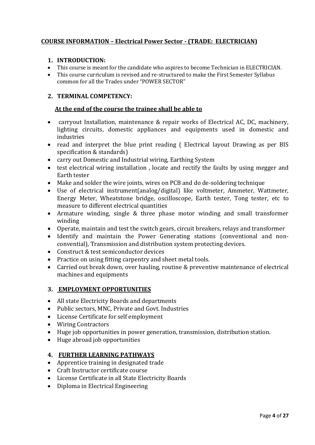### **COURSE INFORMATION – Electrical Power Sector - (TRADE: ELECTRICIAN)**

#### **1. INTRODUCTION:**

- This course is meant for the candidate who aspires to become Technician in ELECTRICIAN.
- This course curriculum is revised and re-structured to make the First Semester Syllabus common for all the Trades under "POWER SECTOR"

#### **2. TERMINAL COMPETENCY:**

#### **At the end of the course the trainee shall be able to**

- carryout Installation, maintenance & repair works of Electrical AC, DC, machinery, lighting circuits, domestic appliances and equipments used in domestic and industries
- read and interpret the blue print reading (Electrical layout Drawing as per BIS specification & standards)
- carry out Domestic and Industrial wiring, Earthing System
- test electrical wiring installation , locate and rectify the faults by using megger and Earth tester
- Make and solder the wire joints, wires on PCB and do de-soldering technique
- Use of electrical instrument(analog/digital) like voltmeter, Ammeter, Wattmeter, Energy Meter, Wheatstone bridge, oscilloscope, Earth tester, Tong tester, etc to measure to different electrical quantities
- Armature winding, single & three phase motor winding and small transformer winding
- Operate, maintain and test the switch gears, circuit breakers, relays and transformer
- Identify and maintain the Power Generating stations (conventional and nonconvential), Transmission and distribution system protecting devices.
- Construct & test semiconductor devices
- Practice on using fitting carpentry and sheet metal tools.
- Carried out break down, over hauling, routine & preventive maintenance of electrical machines and equipments

#### **3. EMPLOYMENT OPPORTUNITIES**

- All state Electricity Boards and departments
- Public sectors, MNC, Private and Govt. Industries
- License Certificate for self employment
- Wiring Contractors
- Huge job opportunities in power generation, transmission, distribution station.
- Huge abroad job opportunities

#### **4. FURTHER LEARNING PATHWAYS**

- Apprentice training in designated trade
- Craft Instructor certificate course
- License Certificate in all State Electricity Boards
- Diploma in Electrical Engineering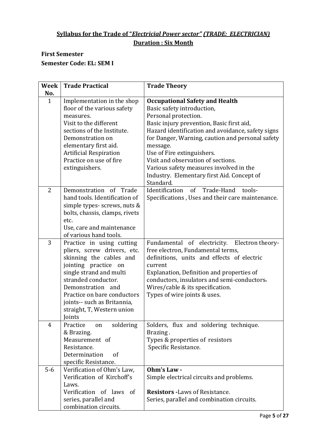## **Syllabus for the Trade of "***Electricial Power sector" (TRADE: ELECTRICIAN)* **Duration : Six Month**

## **First Semester Semester Code: EL: SEM I**

| Week           | <b>Trade Practical</b>                                                                                                                                                                                                                                                                   | <b>Trade Theory</b>                                                                                                                                                                                                                                                                                           |
|----------------|------------------------------------------------------------------------------------------------------------------------------------------------------------------------------------------------------------------------------------------------------------------------------------------|---------------------------------------------------------------------------------------------------------------------------------------------------------------------------------------------------------------------------------------------------------------------------------------------------------------|
| No.            |                                                                                                                                                                                                                                                                                          |                                                                                                                                                                                                                                                                                                               |
| $\mathbf{1}$   | Implementation in the shop<br>floor of the various safety<br>measures.<br>Visit to the different<br>sections of the Institute.<br>Demonstration on                                                                                                                                       | <b>Occupational Safety and Health</b><br>Basic safety introduction,<br>Personal protection.<br>Basic injury prevention, Basic first aid,<br>Hazard identification and avoidance, safety signs<br>for Danger, Warning, caution and personal safety                                                             |
|                | elementary first aid.<br><b>Artificial Respiration</b><br>Practice on use of fire<br>extinguishers.                                                                                                                                                                                      | message.<br>Use of Fire extinguishers.<br>Visit and observation of sections.<br>Various safety measures involved in the<br>Industry. Elementary first Aid. Concept of<br>Standard.                                                                                                                            |
| $\overline{2}$ | Demonstration of Trade<br>hand tools. Identification of<br>simple types- screws, nuts &<br>bolts, chassis, clamps, rivets<br>etc.<br>Use, care and maintenance<br>of various hand tools.                                                                                                 | Identification<br>of<br>Trade-Hand<br>tools-<br>Specifications, Uses and their care maintenance.                                                                                                                                                                                                              |
| 3              | Practice in using cutting<br>pliers, screw drivers, etc.<br>skinning the cables and<br>jointing practice on<br>single strand and multi<br>stranded conductor.<br>Demonstration and<br>Practice on bare conductors<br>joints-- such as Britannia,<br>straight, T, Western union<br>Joints | Fundamental of electricity.<br>Electron theory-<br>free electron, Fundamental terms,<br>definitions, units and effects of electric<br>current<br>Explanation, Definition and properties of<br>conductors, insulators and semi-conductors.<br>Wires/cable & its specification.<br>Types of wire joints & uses. |
| 4              | soldering<br>Practice<br>on<br>& Brazing.<br>Measurement of<br>Resistance.<br>Determination<br>of<br>specific Resistance.                                                                                                                                                                | Solders, flux and soldering technique.<br>Brazing.<br>Types & properties of resistors<br>Specific Resistance.                                                                                                                                                                                                 |
| $5-6$          | Verification of Ohm's Law,<br>Verification of Kirchoff's<br>Laws.<br>Verification of laws of<br>series, parallel and<br>combination circuits.                                                                                                                                            | Ohm's Law -<br>Simple electrical circuits and problems.<br><b>Resistors -Laws of Resistance.</b><br>Series, parallel and combination circuits.                                                                                                                                                                |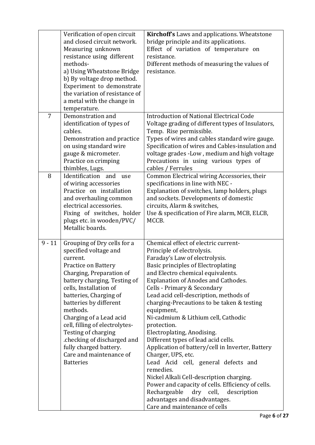|                | Verification of open circuit<br>and closed circuit network.<br>Measuring unknown<br>resistance using different<br>methods-<br>a) Using Wheatstone Bridge<br>b) By voltage drop method.<br>Experiment to demonstrate<br>the variation of resistance of<br>a metal with the change in<br>temperature.                                                                                                                                              | Kirchoff's Laws and applications. Wheatstone<br>bridge principle and its applications.<br>Effect of variation of temperature on<br>resistance.<br>Different methods of measuring the values of<br>resistance.                                                                                                                                                                                                                                                                                                                                                                                                                                                                                                                                                                                                                              |
|----------------|--------------------------------------------------------------------------------------------------------------------------------------------------------------------------------------------------------------------------------------------------------------------------------------------------------------------------------------------------------------------------------------------------------------------------------------------------|--------------------------------------------------------------------------------------------------------------------------------------------------------------------------------------------------------------------------------------------------------------------------------------------------------------------------------------------------------------------------------------------------------------------------------------------------------------------------------------------------------------------------------------------------------------------------------------------------------------------------------------------------------------------------------------------------------------------------------------------------------------------------------------------------------------------------------------------|
| $\overline{7}$ | Demonstration and<br>identification of types of<br>cables.<br>Demonstration and practice<br>on using standard wire<br>gauge & micrometer.<br>Practice on crimping<br>thimbles, Lugs.                                                                                                                                                                                                                                                             | <b>Introduction of National Electrical Code</b><br>Voltage grading of different types of Insulators,<br>Temp. Rise permissible.<br>Types of wires and cables standard wire gauge.<br>Specification of wires and Cables-insulation and<br>voltage grades -Low, medium and high voltage<br>Precautions in using various types of<br>cables / Ferrules                                                                                                                                                                                                                                                                                                                                                                                                                                                                                        |
| 8              | Identification and<br>use<br>of wiring accessories<br>Practice on installation<br>and overhauling common<br>electrical accessories.<br>Fixing of switches, holder<br>plugs etc. in wooden/PVC/<br>Metallic boards.                                                                                                                                                                                                                               | Common Electrical wiring Accessories, their<br>specifications in line with NEC -<br>Explanation of switches, lamp holders, plugs<br>and sockets. Developments of domestic<br>circuits, Alarm & switches,<br>Use & specification of Fire alarm, MCB, ELCB,<br>MCCB.                                                                                                                                                                                                                                                                                                                                                                                                                                                                                                                                                                         |
| $9 - 11$       | Grouping of Dry cells for a<br>specified voltage and<br>current.<br><b>Practice on Battery</b><br>Charging, Preparation of<br>battery charging, Testing of<br>cells, Installation of<br>batteries, Charging of<br>batteries by different<br>methods.<br>Charging of a Lead acid<br>cell, filling of electrolytes-<br>Testing of charging<br>.checking of discharged and<br>fully charged battery.<br>Care and maintenance of<br><b>Batteries</b> | Chemical effect of electric current-<br>Principle of electrolysis.<br>Faraday's Law of electrolysis.<br>Basic principles of Electroplating<br>and Electro chemical equivalents.<br><b>Explanation of Anodes and Cathodes.</b><br>Cells - Primary & Secondary<br>Lead acid cell-description, methods of<br>charging-Precautions to be taken & testing<br>equipment,<br>Ni-cadmium & Lithium cell, Cathodic<br>protection.<br>Electroplating, Anodising.<br>Different types of lead acid cells.<br>Application of battery/cell in Inverter, Battery<br>Charger, UPS, etc.<br>Lead Acid cell, general defects and<br>remedies.<br>Nickel Alkali Cell-description charging.<br>Power and capacity of cells. Efficiency of cells.<br>Rechargeable<br>dry cell,<br>description<br>advantages and disadvantages.<br>Care and maintenance of cells |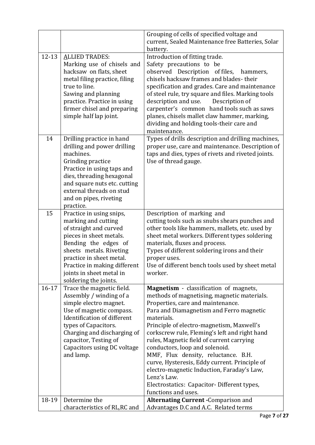|           |                                                                                                                                                                                                                                                                          | Grouping of cells of specified voltage and                                                                                                                                                                                                                                                                                                                                                                                                                                                                                                                                                  |
|-----------|--------------------------------------------------------------------------------------------------------------------------------------------------------------------------------------------------------------------------------------------------------------------------|---------------------------------------------------------------------------------------------------------------------------------------------------------------------------------------------------------------------------------------------------------------------------------------------------------------------------------------------------------------------------------------------------------------------------------------------------------------------------------------------------------------------------------------------------------------------------------------------|
|           |                                                                                                                                                                                                                                                                          | current, Sealed Maintenance free Batteries, Solar                                                                                                                                                                                                                                                                                                                                                                                                                                                                                                                                           |
|           |                                                                                                                                                                                                                                                                          | battery.                                                                                                                                                                                                                                                                                                                                                                                                                                                                                                                                                                                    |
| $12 - 13$ | <b>ALLIED TRADES:</b><br>Marking use of chisels and<br>hacksaw on flats, sheet<br>metal filing practice, filing<br>true to line.<br>Sawing and planning<br>practice. Practice in using<br>firmer chisel and preparing<br>simple half lap joint.                          | Introduction of fitting trade.<br>Safety precautions to be<br>observed Description of files,<br>hammers,<br>chisels hacksaw frames and blades-their<br>specification and grades. Care and maintenance<br>of steel rule, try square and files. Marking tools<br>description and use.<br>Description of<br>carpenter's common hand tools such as saws<br>planes, chisels mallet claw hammer, marking,<br>dividing and holding tools-their care and<br>maintenance.                                                                                                                            |
| 14        | Drilling practice in hand<br>drilling and power drilling<br>machines.<br>Grinding practice<br>Practice in using taps and<br>dies, threading hexagonal<br>and square nuts etc. cutting<br>external threads on stud<br>and on pipes, riveting<br>practice.                 | Types of drills description and drilling machines,<br>proper use, care and maintenance. Description of<br>taps and dies, types of rivets and riveted joints.<br>Use of thread gauge.                                                                                                                                                                                                                                                                                                                                                                                                        |
| 15        | Practice in using snips,<br>marking and cutting<br>of straight and curved<br>pieces in sheet metals.<br>Bending the edges of<br>sheets metals. Riveting<br>practice in sheet metal.<br>Practice in making different<br>joints in sheet metal in<br>soldering the joints. | Description of marking and<br>cutting tools such as snubs shears punches and<br>other tools like hammers, mallets, etc. used by<br>sheet metal workers. Different types soldering<br>materials, fluxes and process.<br>Types of different soldering irons and their<br>proper uses.<br>Use of different bench tools used by sheet metal<br>worker.                                                                                                                                                                                                                                          |
| $16 - 17$ | Trace the magnetic field.<br>Assembly / winding of a<br>simple electro magnet.<br>Use of magnetic compass.<br>Identification of different<br>types of Capacitors.<br>Charging and discharging of<br>capacitor, Testing of<br>Capacitors using DC voltage<br>and lamp.    | Magnetism - classification of magnets,<br>methods of magnetising, magnetic materials.<br>Properties, care and maintenance.<br>Para and Diamagnetism and Ferro magnetic<br>materials.<br>Principle of electro-magnetism, Maxwell's<br>corkscrew rule, Fleming's left and right hand<br>rules, Magnetic field of current carrying<br>conductors, loop and solenoid.<br>MMF, Flux density, reluctance. B.H.<br>curve, Hysteresis, Eddy current. Principle of<br>electro-magnetic Induction, Faraday's Law,<br>Lenz's Law.<br>Electrostatics: Capacitor-Different types,<br>functions and uses. |
| 18-19     | Determine the                                                                                                                                                                                                                                                            | <b>Alternating Current - Comparison and</b>                                                                                                                                                                                                                                                                                                                                                                                                                                                                                                                                                 |
|           | characteristics of RL, RC and                                                                                                                                                                                                                                            | Advantages D.C and A.C. Related terms                                                                                                                                                                                                                                                                                                                                                                                                                                                                                                                                                       |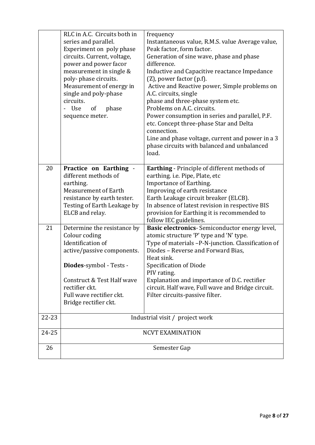|       | RLC in A.C. Circuits both in<br>series and parallel.<br>Experiment on poly phase<br>circuits. Current, voltage,<br>power and power facor<br>measurement in single &<br>poly-phase circuits.<br>Measurement of energy in<br>single and poly-phase<br>circuits.<br>- Use<br>of<br>phase<br>sequence meter. | frequency<br>Instantaneous value, R.M.S. value Average value,<br>Peak factor, form factor.<br>Generation of sine wave, phase and phase<br>difference.<br>Inductive and Capacitive reactance Impedance<br>$(Z)$ , power factor $(p.f)$ .<br>Active and Reactive power, Simple problems on<br>A.C. circuits, single<br>phase and three-phase system etc.<br>Problems on A.C. circuits.<br>Power consumption in series and parallel, P.F.<br>etc. Concept three-phase Star and Delta<br>connection.<br>Line and phase voltage, current and power in a 3<br>phase circuits with balanced and unbalanced<br>load. |
|-------|----------------------------------------------------------------------------------------------------------------------------------------------------------------------------------------------------------------------------------------------------------------------------------------------------------|--------------------------------------------------------------------------------------------------------------------------------------------------------------------------------------------------------------------------------------------------------------------------------------------------------------------------------------------------------------------------------------------------------------------------------------------------------------------------------------------------------------------------------------------------------------------------------------------------------------|
| 20    | Practice on Earthing -<br>different methods of<br>earthing.<br><b>Measurement of Earth</b><br>resistance by earth tester.<br>Testing of Earth Leakage by<br>ELCB and relay.                                                                                                                              | Earthing - Principle of different methods of<br>earthing. i.e. Pipe, Plate, etc<br>Importance of Earthing.<br>Improving of earth resistance<br>Earth Leakage circuit breaker (ELCB).<br>In absence of latest revision in respective BIS<br>provision for Earthing it is recommended to<br>follow IEC guidelines.                                                                                                                                                                                                                                                                                             |
| 21    | Determine the resistance by<br>Colour coding<br>Identification of<br>active/passive components.<br>Diodes-symbol - Tests -<br>Construct & Test Half wave<br>rectifier ckt.<br>Full wave rectifier ckt.<br>Bridge rectifier ckt.                                                                          | Basic electronics-Semiconductor energy level,<br>atomic structure 'P' type and 'N' type.<br>Type of materials -P-N-junction. Classification of<br>Diodes - Reverse and Forward Bias,<br>Heat sink.<br>Specification of Diode<br>PIV rating.<br>Explanation and importance of D.C. rectifier<br>circuit. Half wave, Full wave and Bridge circuit.<br>Filter circuits-passive filter.                                                                                                                                                                                                                          |
| 22-23 | Industrial visit / project work                                                                                                                                                                                                                                                                          |                                                                                                                                                                                                                                                                                                                                                                                                                                                                                                                                                                                                              |
| 24-25 |                                                                                                                                                                                                                                                                                                          | <b>NCVT EXAMINATION</b>                                                                                                                                                                                                                                                                                                                                                                                                                                                                                                                                                                                      |
| 26    | Semester Gap                                                                                                                                                                                                                                                                                             |                                                                                                                                                                                                                                                                                                                                                                                                                                                                                                                                                                                                              |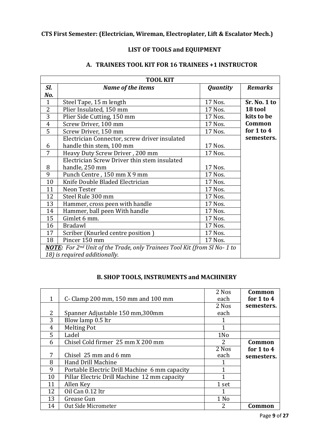### **LIST OF TOOLS and EQUIPMENT**

| <b>TOOL KIT</b>                                                           |                                               |                 |                |
|---------------------------------------------------------------------------|-----------------------------------------------|-----------------|----------------|
| SI.                                                                       | Name of the items                             | <b>Quantity</b> | <b>Remarks</b> |
| No.                                                                       |                                               |                 |                |
| $\mathbf{1}$                                                              | Steel Tape, 15 m length                       | 17 Nos.         | Sr. No. 1 to   |
| $\overline{2}$                                                            | Plier Insulated, 150 mm                       | 17 Nos.         | 18 tool        |
| 3                                                                         | Plier Side Cutting, 150 mm                    | 17 Nos.         | kits to be     |
| $\overline{4}$                                                            | Screw Driver, 100 mm                          | 17 Nos.         | Common         |
| 5                                                                         | Screw Driver, 150 mm                          | 17 Nos.         | for $1$ to $4$ |
|                                                                           | Electrician Connector, screw driver insulated |                 | semesters.     |
| 6                                                                         | handle thin stem, 100 mm                      | 17 Nos.         |                |
| 7                                                                         | Heavy Duty Screw Driver, 200 mm               | 17 Nos.         |                |
|                                                                           | Electrician Screw Driver thin stem insulated  |                 |                |
| 8                                                                         | handle, 250 mm                                | 17 Nos.         |                |
| 9                                                                         | Punch Centre, 150 mm X 9 mm                   | 17 Nos.         |                |
| 10                                                                        | Knife Double Bladed Electrician               | 17 Nos.         |                |
| 11                                                                        | Neon Tester                                   | 17 Nos.         |                |
| 12                                                                        | Steel Rule 300 mm                             | 17 Nos.         |                |
| 13                                                                        | Hammer, cross peen with handle                | 17 Nos.         |                |
| 14                                                                        | Hammer, ball peen With handle                 | 17 Nos.         |                |
| 15                                                                        | Gimlet 6 mm.                                  | 17 Nos.         |                |
| 16                                                                        | <b>Bradawl</b>                                | 17 Nos.         |                |
| 17                                                                        | Scriber (Knurled centre position)             | 17 Nos.         |                |
| 18                                                                        | Pincer 150 mm                                 | 17 Nos.         |                |
| NOTE: For 2nd Unit of the Trade, only Trainees Tool Kit (from Sl No- 1 to |                                               |                 |                |
|                                                                           | 18) is required additionally.                 |                 |                |

## **A. TRAINEES TOOL KIT FOR 16 TRAINEES +1 INSTRUCTOR**

## **B. SHOP TOOLS, INSTRUMENTS and MACHINERY**

|    |                                               | 2 Nos           | Common         |
|----|-----------------------------------------------|-----------------|----------------|
| 1  | C- Clamp 200 mm, 150 mm and 100 mm            | each            | for $1$ to $4$ |
|    |                                               | 2 Nos           | semesters.     |
| 2  | Spanner Adjustable 150 mm, 300mm              | each            |                |
| 3  | Blow lamp 0.5 ltr                             |                 |                |
| 4  | <b>Melting Pot</b>                            |                 |                |
| 5  | Ladel                                         | 1N <sub>o</sub> |                |
| 6  | Chisel Cold firmer 25 mm X 200 mm             | 2               | Common         |
|    |                                               | 2 Nos           | for $1$ to $4$ |
| 7  | Chisel 25 mm and 6 mm                         | each            | semesters.     |
| 8  | Hand Drill Machine                            |                 |                |
| 9  | Portable Electric Drill Machine 6 mm capacity |                 |                |
| 10 | Pillar Electric Drill Machine 12 mm capacity  |                 |                |
| 11 | Allen Key                                     | 1 set           |                |
| 12 | Oil Can 0.12 ltr                              |                 |                |
| 13 | Grease Gun                                    | $1$ No          |                |
| 14 | Out Side Micrometer                           | 2               | Common         |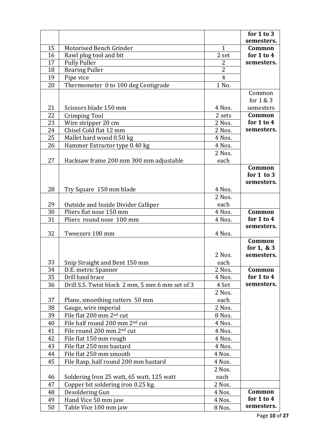|                                                                | for $1$ to $3$ |
|----------------------------------------------------------------|----------------|
|                                                                | semesters.     |
| 15<br>Motorised Bench Grinder<br>$\mathbf{1}$                  | <b>Common</b>  |
| 16<br>Rawl plug tool and bit<br>2 set                          | for $1$ to $4$ |
| 17<br><b>Pully Puller</b><br>2                                 | semesters.     |
| $\overline{2}$<br>18<br><b>Bearing Puller</b>                  |                |
| $\overline{4}$<br>19<br>Pipe vice                              |                |
| 20<br>1 No.<br>Thermometer 0 to 100 deg Centigrade             |                |
|                                                                | Common         |
|                                                                | for 1 & 3      |
| 21<br>Scissors blade 150 mm<br>4 Nos.                          | semesters      |
| 22<br>2 sets<br>Crimping Tool                                  | Common         |
| 23<br>Wire stripper 20 cm<br>2 Nos.                            | for 1 to 4     |
| Chisel Cold flat 12 mm<br>2 Nos.<br>24                         | semesters.     |
| 25<br>Mallet hard wood 0.50 kg<br>4 Nos.                       |                |
| Hammer Extractor type 0.40 kg<br>26<br>4 Nos.                  |                |
| 2 Nos.                                                         |                |
| 27<br>each<br>Hacksaw frame 200 mm 300 mm adjustable           |                |
|                                                                | Common         |
|                                                                | for $1$ to $3$ |
|                                                                | semesters.     |
| 28<br>4 Nos.<br>Try Square 150 mm blade                        |                |
| 2 Nos.                                                         |                |
| 29<br>each<br>Outside and Inside Divider Calliper              |                |
| Pliers flat nose 150 mm<br>30<br>4 Nos.                        | Common         |
| 31<br>4 Nos.<br>Pliers round nose 100 mm                       | for $1$ to $4$ |
|                                                                | semesters.     |
| 32<br>Tweezers 100 mm<br>4 Nos.                                |                |
|                                                                | Common         |
|                                                                | for $1, 8, 3$  |
| 2 Nos.                                                         | semesters.     |
| 33<br>Snip Straight and Bent 150 mm<br>each                    |                |
| 34<br>D.E. metric Spanner<br>$\overline{2}$ Nos.               | Common         |
| 35<br>Drill hand brace<br>4 Nos.                               | for 1 to 4     |
| 36<br>Drill S.S. Twist block 2 mm, 5 mm 6 mm set of 3<br>4 Set | semesters.     |
| 2 Nos.                                                         |                |
| 37<br>Plane, smoothing cutters 50 mm<br>each                   |                |
| 38<br>Gauge, wire imperial<br>2 Nos.                           |                |
| 39<br>File flat 200 mm 2 <sup>nd</sup> cut<br>8 Nos.           |                |
| File half round 200 mm 2 <sup>nd</sup> cut<br>40<br>4 Nos.     |                |
| File round 200 mm 2 <sup>nd</sup> cut<br>41<br>4 Nos.          |                |
| File flat 150 mm rough<br>42<br>4 Nos.                         |                |
| 43<br>File flat 250 mm bastard<br>4 Nos.                       |                |
| 44<br>File flat 250 mm smooth<br>4 Nos.                        |                |
| 45<br>File Rasp, half round 200 mm bastard<br>4 Nos.           |                |
| 2 Nos.                                                         |                |
| 46<br>Soldering Iron 25 watt, 65 watt, 125 watt<br>each        |                |
|                                                                |                |
| Copper bit soldering iron 0.25 kg.<br>2 Nos.<br>47             |                |
| 48<br>Desoldering Gun<br>4 Nos.                                | Common         |
| 49<br>Hand Vice 50 mm jaw<br>4 Nos.                            | for $1$ to $4$ |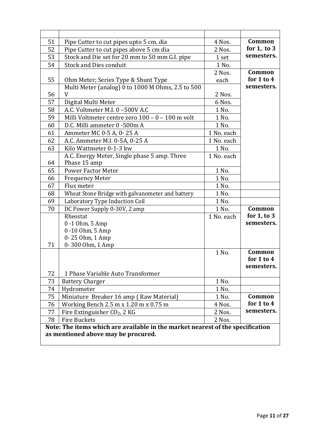| 51 | Pipe Cutter to cut pipes upto 5 cm. dia                                        | 4 Nos.     | Common                   |
|----|--------------------------------------------------------------------------------|------------|--------------------------|
| 52 | Pipe Cutter to cut pipes above 5 cm dia                                        | 2 Nos.     | for $1$ , to $3$         |
| 53 | Stock and Die set for 20 mm to 50 mm G.I. pipe                                 | 1 set      | semesters.               |
| 54 | <b>Stock and Dies conduit</b>                                                  | 1 No.      |                          |
|    |                                                                                | 2 Nos.     | Common                   |
| 55 | Ohm Meter; Series Type & Shunt Type                                            | each       | for $1$ to $4$           |
|    | Multi Meter (analog) 0 to 1000 M Ohms, 2.5 to 500                              |            | semesters.               |
| 56 | V                                                                              | 2 Nos.     |                          |
| 57 | Digital Multi Meter                                                            | 6 Nos.     |                          |
| 58 | A.C. Voltmeter M.I. 0-500V A.C                                                 | 1 No.      |                          |
| 59 | Milli Voltmeter centre zero 100 - 0 - 100 m volt                               | 1 No.      |                          |
| 60 | D.C. Milli ammeter 0 -500m A                                                   | 1 No.      |                          |
| 61 | Ammeter MC 0-5 A, 0-25 A                                                       | 1 No. each |                          |
| 62 | A.C. Ammeter M.I. 0-5A, 0-25 A                                                 | 1 No. each |                          |
| 63 | Kilo Wattmeter 0-1-3 kw                                                        | 1 No.      |                          |
|    | A.C. Energy Meter, Single phase 5 amp. Three                                   | 1 No. each |                          |
| 64 | Phase 15 amp                                                                   |            |                          |
| 65 | <b>Power Factor Meter</b>                                                      | 1 No.      |                          |
| 66 | <b>Frequency Meter</b>                                                         | 1 No.      |                          |
| 67 | Flux meter                                                                     | 1 No.      |                          |
| 68 | Wheat Stone Bridge with galvanometer and battery                               | 1 No.      |                          |
| 69 | Laboratory Type Induction Coil                                                 | 1 No.      |                          |
| 70 | DC Power Supply 0-30V, 2 amp                                                   | 1 No.      | Common                   |
|    | Rheostat                                                                       | 1 No. each | for $1$ , to $3$         |
|    | $0 - 1$ Ohm, 5 Amp                                                             |            | semesters.               |
|    | 0-10 Ohm, 5 Amp                                                                |            |                          |
|    | 0-25 Ohm, 1 Amp                                                                |            |                          |
| 71 | 0-300 Ohm, 1 Amp                                                               |            |                          |
|    |                                                                                | 1 No.      | Common<br>for $1$ to $4$ |
|    |                                                                                |            | semesters.               |
| 72 | 1 Phase Variable Auto Transformer                                              |            |                          |
| 73 | <b>Battery Charger</b>                                                         | 1 No.      |                          |
| 74 | Hydrometer                                                                     | 1 No.      |                          |
| 75 | Miniature Breaker 16 amp (Raw Material)                                        | 1 No.      | Common                   |
| 76 | Working Bench 2.5 m x 1.20 m x 0.75 m                                          | 4 Nos.     | for $1$ to $4$           |
| 77 | Fire Extinguisher CO <sub>2</sub> , 2 KG                                       | 2 Nos.     | semesters.               |
| 78 | <b>Fire Buckets</b>                                                            | 2 Nos.     |                          |
|    | Note: The items which are available in the market nearest of the specification |            |                          |
|    | as mentioned above may be procured.                                            |            |                          |
|    |                                                                                |            |                          |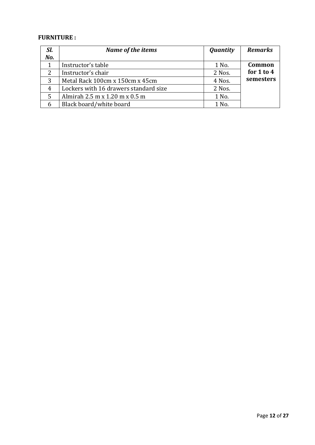## **FURNITURE :**

| SI.<br>No. | Name of the items                     | <b>Quantity</b> | <b>Remarks</b> |
|------------|---------------------------------------|-----------------|----------------|
|            | Instructor's table                    | 1 No.           | Common         |
| 2          | Instructor's chair                    | 2 Nos.          | for $1$ to $4$ |
| 3          | Metal Rack 100cm x 150cm x 45cm       | 4 Nos.          | semesters      |
| 4          | Lockers with 16 drawers standard size | 2 Nos.          |                |
| 5          | Almirah 2.5 m x 1.20 m x 0.5 m        | 1 No.           |                |
|            | Black board/white board               | 1 No.           |                |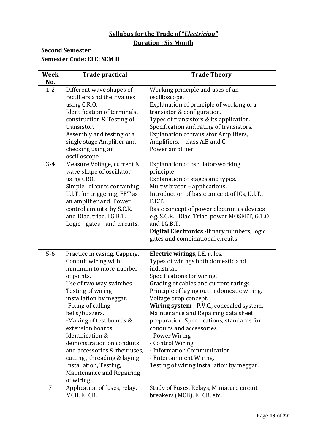## **Syllabus for the Trade of "***Electrician"* **Duration : Six Month**

## **Second Semester Semester Code: ELE: SEM II**

| <b>Week</b> | <b>Trade practical</b>                                                                                                                                                                                                                                                                                                                                                                                                                                | <b>Trade Theory</b>                                                                                                                                                                                                                                                                                                                                                                                                                                                                                                                            |
|-------------|-------------------------------------------------------------------------------------------------------------------------------------------------------------------------------------------------------------------------------------------------------------------------------------------------------------------------------------------------------------------------------------------------------------------------------------------------------|------------------------------------------------------------------------------------------------------------------------------------------------------------------------------------------------------------------------------------------------------------------------------------------------------------------------------------------------------------------------------------------------------------------------------------------------------------------------------------------------------------------------------------------------|
| No.         |                                                                                                                                                                                                                                                                                                                                                                                                                                                       |                                                                                                                                                                                                                                                                                                                                                                                                                                                                                                                                                |
| $1 - 2$     | Different wave shapes of<br>rectifiers and their values<br>using C.R.O.<br>Identification of terminals,<br>construction & Testing of<br>transistor.<br>Assembly and testing of a<br>single stage Amplifier and<br>checking using an<br>oscilloscope.                                                                                                                                                                                                  | Working principle and uses of an<br>oscilloscope.<br>Explanation of principle of working of a<br>transistor & configuration.<br>Types of transistors & its application.<br>Specification and rating of transistors.<br><b>Explanation of transistor Amplifiers,</b><br>Amplifiers. - class A,B and C<br>Power amplifier                                                                                                                                                                                                                        |
| $3 - 4$     | Measure Voltage, current &<br>wave shape of oscillator<br>using CRO.<br>Simple circuits containing<br>U.J.T. for triggering, FET as<br>an amplifier and Power<br>control circuits by S.C.R.<br>and Diac, triac, I.G.B.T.<br>Logic gates and circuits.                                                                                                                                                                                                 | Explanation of oscillator-working<br>principle<br>Explanation of stages and types.<br>Multivibrator - applications.<br>Introduction of basic concept of ICs, U.J.T.,<br>F.E.T.<br>Basic concept of power electronics devices<br>e.g. S.C.R., Diac, Triac, power MOSFET, G.T.O<br>and I.G.B.T.<br><b>Digital Electronics - Binary numbers, logic</b><br>gates and combinational circuits,                                                                                                                                                       |
| $5-6$       | Practice in casing, Capping.<br>Conduit wiring with<br>minimum to more number<br>of points.<br>Use of two way switches.<br>Testing of wiring<br>installation by meggar.<br>-Fixing of calling<br>bells/buzzers.<br>-Making of test boards &<br>extension boards<br>Identification &<br>demonstration on conduits<br>and accessories & their uses,<br>cutting, threading & laying<br>Installation, Testing,<br>Maintenance and Repairing<br>of wiring. | Electric wirings, I.E. rules.<br>Types of wirings both domestic and<br>industrial.<br>Specifications for wiring.<br>Grading of cables and current ratings.<br>Principle of laying out in domestic wiring.<br>Voltage drop concept.<br>Wiring system - P.V.C., concealed system.<br>Maintenance and Repairing data sheet<br>preparation. Specifications, standards for<br>conduits and accessories<br>- Power Wiring<br>- Control Wiring<br>- Information Communication<br>- Entertainment Wiring.<br>Testing of wiring installation by meggar. |
| 7           | Application of fuses, relay,<br>MCB, ELCB.                                                                                                                                                                                                                                                                                                                                                                                                            | Study of Fuses, Relays, Miniature circuit<br>breakers (MCB), ELCB, etc.                                                                                                                                                                                                                                                                                                                                                                                                                                                                        |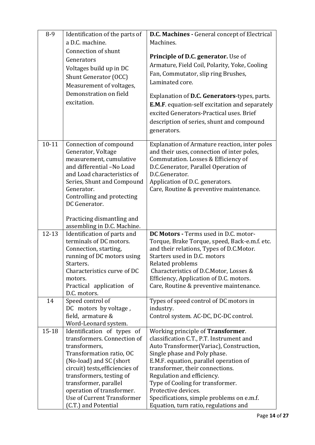| $8-9$     | Identification of the parts of               | D.C. Machines - General concept of Electrical                                               |
|-----------|----------------------------------------------|---------------------------------------------------------------------------------------------|
|           | a D.C. machine.                              | Machines.                                                                                   |
|           | Connection of shunt                          |                                                                                             |
|           | Generators                                   | Principle of D.C. generator. Use of                                                         |
|           |                                              | Armature, Field Coil, Polarity, Yoke, Cooling                                               |
|           | Voltages build up in DC                      | Fan, Commutator, slip ring Brushes,                                                         |
|           | Shunt Generator (OCC)                        | Laminated core.                                                                             |
|           | Measurement of voltages,                     |                                                                                             |
|           | Demonstration on field                       | Explanation of D.C. Generators-types, parts.                                                |
|           | excitation.                                  | <b>E.M.F.</b> equation-self excitation and separately                                       |
|           |                                              | excited Generators-Practical uses. Brief                                                    |
|           |                                              |                                                                                             |
|           |                                              | description of series, shunt and compound                                                   |
|           |                                              | generators.                                                                                 |
| $10 - 11$ |                                              |                                                                                             |
|           | Connection of compound<br>Generator, Voltage | Explanation of Armature reaction, inter poles<br>and their uses, connection of inter poles, |
|           | measurement, cumulative                      | Commutation. Losses & Efficiency of                                                         |
|           | and differential -No Load                    | D.C.Generator, Parallel Operation of                                                        |
|           | and Load characteristics of                  | D.C.Generator.                                                                              |
|           | Series, Shunt and Compound                   | Application of D.C. generators.                                                             |
|           | Generator.                                   | Care, Routine & preventive maintenance.                                                     |
|           | Controlling and protecting                   |                                                                                             |
|           | DC Generator.                                |                                                                                             |
|           |                                              |                                                                                             |
|           | Practicing dismantling and                   |                                                                                             |
|           | assembling in D.C. Machine.                  |                                                                                             |
| $12 - 13$ | Identification of parts and                  | DC Motors - Terms used in D.C. motor-                                                       |
|           | terminals of DC motors.                      | Torque, Brake Torque, speed, Back-e.m.f. etc.                                               |
|           | Connection, starting,                        | and their relations, Types of D.C.Motor.                                                    |
|           | running of DC motors using                   | Starters used in D.C. motors                                                                |
|           | Starters.                                    | Related problems                                                                            |
|           | Characteristics curve of DC                  | Characteristics of D.C.Motor, Losses &                                                      |
|           | motors.                                      | Efficiency, Application of D.C. motors.                                                     |
|           | Practical application of                     | Care, Routine & preventive maintenance.                                                     |
|           | D.C. motors.                                 |                                                                                             |
| 14        | Speed control of                             | Types of speed control of DC motors in                                                      |
|           | DC motors by voltage,                        | industry.                                                                                   |
|           | field, armature &                            | Control system. AC-DC, DC-DC control.                                                       |
|           | Word-Leonard system.                         |                                                                                             |
| $15 - 18$ | Identification of types of                   | Working principle of Transformer.                                                           |
|           | transformers. Connection of                  | classification C.T., P.T. Instrument and                                                    |
|           | transformers,                                | Auto Transformer (Variac), Construction,                                                    |
|           | Transformation ratio, OC                     | Single phase and Poly phase.                                                                |
|           | (No-load) and SC (short                      | E.M.F. equation, parallel operation of                                                      |
|           | circuit) tests, efficiencies of              | transformer, their connections.                                                             |
|           | transformers, testing of                     | Regulation and efficiency.                                                                  |
|           | transformer, parallel                        | Type of Cooling for transformer.                                                            |
|           | operation of transformer.                    | Protective devices.                                                                         |
|           | Use of Current Transformer                   | Specifications, simple problems on e.m.f.                                                   |
|           | (C.T.) and Potential                         | Equation, turn ratio, regulations and                                                       |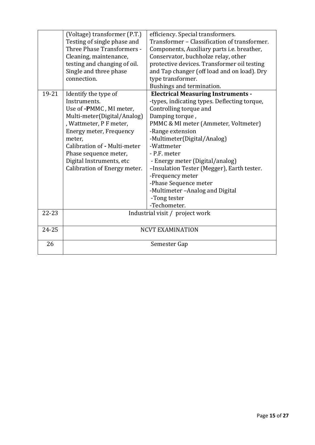| 19-21     | (Voltage) transformer (P.T.)<br>Testing of single phase and<br>Three Phase Transformers -<br>Cleaning, maintenance,<br>testing and changing of oil.<br>Single and three phase<br>connection.<br>Identify the type of<br>Instruments.<br>Use of -PMMC, MI meter,<br>Multi-meter(Digital/Analog)<br>, Wattmeter, P F meter,<br>Energy meter, Frequency<br>meter.<br>Calibration of - Multi-meter<br>Phase sequence meter,<br>Digital Instruments, etc<br>Calibration of Energy meter. | efficiency. Special transformers.<br>Transformer - Classification of transformer.<br>Components, Auxiliary parts i.e. breather,<br>Conservator, buchholze relay, other<br>protective devices. Transformer oil testing<br>and Tap changer (off load and on load). Dry<br>type transformer.<br>Bushings and termination.<br><b>Electrical Measuring Instruments -</b><br>-types, indicating types. Deflecting torque,<br>Controlling torque and<br>Damping torque,<br>PMMC & MI meter (Ammeter, Voltmeter)<br>-Range extension<br>-Multimeter(Digital/Analog)<br>-Wattmeter<br>- P.F. meter<br>- Energy meter (Digital/analog)<br>-Insulation Tester (Megger), Earth tester.<br>-Frequency meter |
|-----------|-------------------------------------------------------------------------------------------------------------------------------------------------------------------------------------------------------------------------------------------------------------------------------------------------------------------------------------------------------------------------------------------------------------------------------------------------------------------------------------|------------------------------------------------------------------------------------------------------------------------------------------------------------------------------------------------------------------------------------------------------------------------------------------------------------------------------------------------------------------------------------------------------------------------------------------------------------------------------------------------------------------------------------------------------------------------------------------------------------------------------------------------------------------------------------------------|
|           |                                                                                                                                                                                                                                                                                                                                                                                                                                                                                     | -Phase Sequence meter<br>-Multimeter-Analog and Digital                                                                                                                                                                                                                                                                                                                                                                                                                                                                                                                                                                                                                                        |
|           |                                                                                                                                                                                                                                                                                                                                                                                                                                                                                     | -Tong tester<br>-Techometer.                                                                                                                                                                                                                                                                                                                                                                                                                                                                                                                                                                                                                                                                   |
| $22 - 23$ | Industrial visit / project work                                                                                                                                                                                                                                                                                                                                                                                                                                                     |                                                                                                                                                                                                                                                                                                                                                                                                                                                                                                                                                                                                                                                                                                |
|           |                                                                                                                                                                                                                                                                                                                                                                                                                                                                                     |                                                                                                                                                                                                                                                                                                                                                                                                                                                                                                                                                                                                                                                                                                |
| 24-25     |                                                                                                                                                                                                                                                                                                                                                                                                                                                                                     | <b>NCVT EXAMINATION</b>                                                                                                                                                                                                                                                                                                                                                                                                                                                                                                                                                                                                                                                                        |
| 26        | Semester Gap                                                                                                                                                                                                                                                                                                                                                                                                                                                                        |                                                                                                                                                                                                                                                                                                                                                                                                                                                                                                                                                                                                                                                                                                |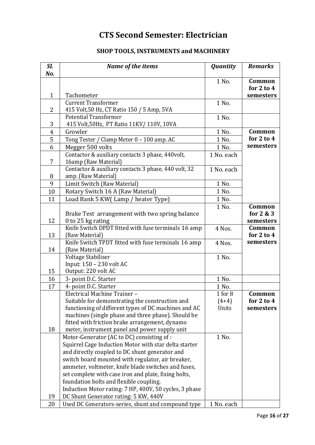## **CTS Second Semester: Electrician**

## **SHOP TOOLS, INSTRUMENTS and MACHINERY**

| 1 No.<br>Common<br>for $2$ to $4$<br>$\mathbf{1}$<br>Tachometer<br>semesters<br><b>Current Transformer</b><br>1 No.<br>415 Volt, 50 Hz, CT Ratio 150 / 5 Amp, 5VA<br>$\overline{2}$<br>Potential Transformer<br>1 No.<br>3<br>415 Volt, 50Hz, PT Ratio 11KV/ 110V, 10VA<br>Growler<br>1 No.<br>Common<br>$\overline{4}$<br>for $2$ to $4$<br>5<br>Tong Tester / Clamp Meter 0 - 100 amp. AC<br>1 No.<br>6<br>1 No.<br>Megger 500 volts<br>Contactor & auxiliary contacts 3 phase, 440volt,<br>1 No. each<br>7<br>16amp (Raw Material)<br>Contactor & auxiliary contacts 3 phase, 440 volt, 32<br>1 No. each<br>8<br>amp. (Raw Material)<br>9<br>Limit Switch (Raw Material)<br>1 No.<br>1 No.<br>10<br>Rotary Switch 16 A (Raw Material)<br>11<br>Load Bank 5 KW(Lamp / heater Type)<br>1 No.<br>1 No.<br>Common<br>Brake Test arrangement with two spring balance<br>for $2 & 3$ | Sl.<br>No. | Name of the items | <b>Quantity</b> | <b>Remarks</b> |
|-----------------------------------------------------------------------------------------------------------------------------------------------------------------------------------------------------------------------------------------------------------------------------------------------------------------------------------------------------------------------------------------------------------------------------------------------------------------------------------------------------------------------------------------------------------------------------------------------------------------------------------------------------------------------------------------------------------------------------------------------------------------------------------------------------------------------------------------------------------------------------------|------------|-------------------|-----------------|----------------|
|                                                                                                                                                                                                                                                                                                                                                                                                                                                                                                                                                                                                                                                                                                                                                                                                                                                                                   |            |                   |                 |                |
|                                                                                                                                                                                                                                                                                                                                                                                                                                                                                                                                                                                                                                                                                                                                                                                                                                                                                   |            |                   |                 |                |
|                                                                                                                                                                                                                                                                                                                                                                                                                                                                                                                                                                                                                                                                                                                                                                                                                                                                                   |            |                   |                 |                |
|                                                                                                                                                                                                                                                                                                                                                                                                                                                                                                                                                                                                                                                                                                                                                                                                                                                                                   |            |                   |                 |                |
|                                                                                                                                                                                                                                                                                                                                                                                                                                                                                                                                                                                                                                                                                                                                                                                                                                                                                   |            |                   |                 |                |
|                                                                                                                                                                                                                                                                                                                                                                                                                                                                                                                                                                                                                                                                                                                                                                                                                                                                                   |            |                   |                 |                |
|                                                                                                                                                                                                                                                                                                                                                                                                                                                                                                                                                                                                                                                                                                                                                                                                                                                                                   |            |                   |                 |                |
|                                                                                                                                                                                                                                                                                                                                                                                                                                                                                                                                                                                                                                                                                                                                                                                                                                                                                   |            |                   |                 | semesters      |
|                                                                                                                                                                                                                                                                                                                                                                                                                                                                                                                                                                                                                                                                                                                                                                                                                                                                                   |            |                   |                 |                |
|                                                                                                                                                                                                                                                                                                                                                                                                                                                                                                                                                                                                                                                                                                                                                                                                                                                                                   |            |                   |                 |                |
|                                                                                                                                                                                                                                                                                                                                                                                                                                                                                                                                                                                                                                                                                                                                                                                                                                                                                   |            |                   |                 |                |
|                                                                                                                                                                                                                                                                                                                                                                                                                                                                                                                                                                                                                                                                                                                                                                                                                                                                                   |            |                   |                 |                |
|                                                                                                                                                                                                                                                                                                                                                                                                                                                                                                                                                                                                                                                                                                                                                                                                                                                                                   |            |                   |                 |                |
|                                                                                                                                                                                                                                                                                                                                                                                                                                                                                                                                                                                                                                                                                                                                                                                                                                                                                   | 12         | 0 to 25 kg rating |                 | semesters      |
| Knife Switch DPDT fitted with fuse terminals 16 amp<br>4 Nos.<br>Common                                                                                                                                                                                                                                                                                                                                                                                                                                                                                                                                                                                                                                                                                                                                                                                                           |            |                   |                 |                |
| for $2$ to $4$<br>13<br>(Raw Material)                                                                                                                                                                                                                                                                                                                                                                                                                                                                                                                                                                                                                                                                                                                                                                                                                                            |            |                   |                 |                |
| Knife Switch TPDT fitted with fuse terminals 16 amp<br>4 Nos.<br>14<br>(Raw Material)                                                                                                                                                                                                                                                                                                                                                                                                                                                                                                                                                                                                                                                                                                                                                                                             |            |                   |                 | semesters      |
| Voltage Stabiliser<br>1 No.<br>Input: 150 - 230 volt AC                                                                                                                                                                                                                                                                                                                                                                                                                                                                                                                                                                                                                                                                                                                                                                                                                           |            |                   |                 |                |
| 15<br>Output: 220 volt AC                                                                                                                                                                                                                                                                                                                                                                                                                                                                                                                                                                                                                                                                                                                                                                                                                                                         |            |                   |                 |                |
| 1 No.<br>16<br>3- point D.C. Starter                                                                                                                                                                                                                                                                                                                                                                                                                                                                                                                                                                                                                                                                                                                                                                                                                                              |            |                   |                 |                |
| 17<br>4- point D.C. Starter<br>1 No.                                                                                                                                                                                                                                                                                                                                                                                                                                                                                                                                                                                                                                                                                                                                                                                                                                              |            |                   |                 |                |
| $1$ for $8$<br>Electrical Machine Trainer -<br>Common                                                                                                                                                                                                                                                                                                                                                                                                                                                                                                                                                                                                                                                                                                                                                                                                                             |            |                   |                 |                |
| for $2$ to $4$<br>Suitable for demonstrating the construction and<br>$(4+4)$<br>functioning of different types of DC machines and AC<br>Units<br>machines (single phase and three phase). Should be<br>fitted with friction brake arrangement, dynamo                                                                                                                                                                                                                                                                                                                                                                                                                                                                                                                                                                                                                             |            |                   |                 | semesters      |
| 18<br>meter, instrument panel and power supply unit                                                                                                                                                                                                                                                                                                                                                                                                                                                                                                                                                                                                                                                                                                                                                                                                                               |            |                   |                 |                |
| Motor-Generator (AC to DC) consisting of:<br>1 No.<br>Squirrel Cage Induction Motor with star delta starter<br>and directly coupled to DC shunt generator and<br>switch board mounted with regulator, air breaker,<br>ammeter, voltmeter, knife blade switches and fuses,<br>set complete with case iron and plate, fixing bolts,<br>foundation bolts and flexible coupling.<br>Induction Motor rating: 7 HP, 400V, 50 cycles, 3 phase                                                                                                                                                                                                                                                                                                                                                                                                                                            |            |                   |                 |                |
| 19<br>DC Shunt Generator rating: 5 KW, 440V<br>Used DC Generators-series, shunt and compound type<br>20<br>1 No. each                                                                                                                                                                                                                                                                                                                                                                                                                                                                                                                                                                                                                                                                                                                                                             |            |                   |                 |                |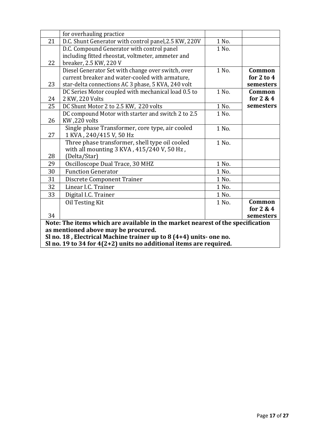|                                                                                | for overhauling practice                              |       |                |
|--------------------------------------------------------------------------------|-------------------------------------------------------|-------|----------------|
| 21                                                                             | D.C. Shunt Generator with control panel, 2.5 KW, 220V | 1 No. |                |
|                                                                                | D.C. Compound Generator with control panel            | 1 No. |                |
|                                                                                | including fitted rheostat, voltmeter, ammeter and     |       |                |
| 22                                                                             | breaker, 2.5 KW, 220 V                                |       |                |
|                                                                                | Diesel Generator Set with change over switch, over    | 1 No. | Common         |
|                                                                                | current breaker and water-cooled with armature,       |       | for $2$ to $4$ |
| 23                                                                             | star-delta connections AC 3 phase, 5 KVA, 240 volt    |       | semesters      |
|                                                                                | DC Series Motor coupled with mechanical load 0.5 to   | 1 No. | Common         |
| 24                                                                             | 2 KW, 220 Volts                                       |       | for 2 & 4      |
| 25                                                                             | DC Shunt Motor 2 to 2.5 KW, 220 volts                 | 1 No. | semesters      |
|                                                                                | DC compound Motor with starter and switch 2 to 2.5    | 1 No. |                |
| 26                                                                             | KW,220 volts                                          |       |                |
|                                                                                | Single phase Transformer, core type, air cooled       | 1 No. |                |
| 27                                                                             | 1 KVA, 240/415 V, 50 Hz                               |       |                |
|                                                                                | Three phase transformer, shell type oil cooled        | 1 No. |                |
|                                                                                | with all mounting 3 KVA, 415/240 V, 50 Hz,            |       |                |
| 28                                                                             | (Delta/Star)                                          |       |                |
| 29                                                                             | Oscilloscope Dual Trace, 30 MHZ                       | 1 No. |                |
| 30                                                                             | <b>Function Generator</b>                             | 1 No. |                |
| 31                                                                             | <b>Discrete Component Trainer</b>                     | 1 No. |                |
| 32                                                                             | Linear I.C. Trainer                                   | 1 No. |                |
| 33                                                                             | Digital I.C. Trainer                                  | 1 No. |                |
|                                                                                | Oil Testing Kit                                       | 1 No. | Common         |
|                                                                                |                                                       |       | for $2 & 4$    |
| 34                                                                             |                                                       |       | semesters      |
| Note: The items which are available in the market nearest of the specification |                                                       |       |                |
| as mentioned above may be procured.                                            |                                                       |       |                |
| Sl no. 18, Electrical Machine trainer up to 8 (4+4) units- one no.             |                                                       |       |                |
| Sl no. 19 to 34 for $4(2+2)$ units no additional items are required.           |                                                       |       |                |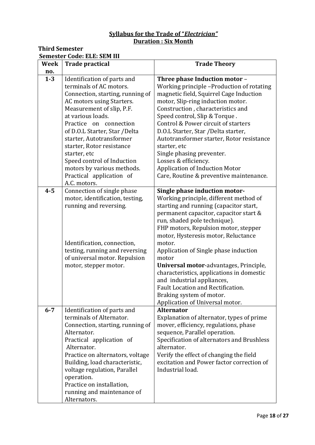### **Syllabus for the Trade of "***Electrician"* **Duration : Six Month**

## **Third Semester**

### **Semester Code: ELE: SEM III**

| <b>Week</b> | <b>Trade practical</b>                                                                                                                                                                                                                                                                                                                                                                                                | <b>Trade Theory</b>                                                                                                                                                                                                                                                                                                                                                                                                                                                                                                                                             |
|-------------|-----------------------------------------------------------------------------------------------------------------------------------------------------------------------------------------------------------------------------------------------------------------------------------------------------------------------------------------------------------------------------------------------------------------------|-----------------------------------------------------------------------------------------------------------------------------------------------------------------------------------------------------------------------------------------------------------------------------------------------------------------------------------------------------------------------------------------------------------------------------------------------------------------------------------------------------------------------------------------------------------------|
| no.         |                                                                                                                                                                                                                                                                                                                                                                                                                       |                                                                                                                                                                                                                                                                                                                                                                                                                                                                                                                                                                 |
| $1 - 3$     | Identification of parts and<br>terminals of AC motors.<br>Connection, starting, running of<br>AC motors using Starters.<br>Measurement of slip, P.F.<br>at various loads.<br>Practice on connection<br>of D.O.L Starter, Star /Delta<br>starter, Autotransformer<br>starter, Rotor resistance<br>starter, etc<br>Speed control of Induction<br>motors by various methods.<br>Practical application of<br>A.C. motors. | Three phase Induction motor -<br>Working principle -Production of rotating<br>magnetic field, Squirrel Cage Induction<br>motor, Slip-ring induction motor.<br>Construction, characteristics and<br>Speed control, Slip & Torque.<br>Control & Power circuit of starters<br>D.O.L Starter, Star /Delta starter,<br>Autotransformer starter, Rotor resistance<br>starter, etc<br>Single phasing preventer.<br>Losses & efficiency.<br><b>Application of Induction Motor</b><br>Care, Routine & preventive maintenance.                                            |
| $4 - 5$     | Connection of single phase<br>motor, identification, testing,<br>running and reversing.<br>Identification, connection,<br>testing, running and reversing<br>of universal motor. Repulsion<br>motor, stepper motor.                                                                                                                                                                                                    | Single phase induction motor-<br>Working principle, different method of<br>starting and running (capacitor start,<br>permanent capacitor, capacitor start &<br>run, shaded pole technique).<br>FHP motors, Repulsion motor, stepper<br>motor, Hysteresis motor, Reluctance<br>motor.<br>Application of Single phase induction<br>motor<br>Universal motor-advantages, Principle,<br>characteristics, applications in domestic<br>and industrial appliances,<br>Fault Location and Rectification.<br>Braking system of motor.<br>Application of Universal motor. |
| $6 - 7$     | Identification of parts and<br>terminals of Alternator.<br>Connection, starting, running of<br>Alternator.<br>Practical application of<br>Alternator.<br>Practice on alternators, voltage<br>Building, load characteristic,<br>voltage regulation, Parallel<br>operation.<br>Practice on installation,<br>running and maintenance of<br>Alternators.                                                                  | <b>Alternator</b><br>Explanation of alternator, types of prime<br>mover, efficiency, regulations, phase<br>sequence, Parallel operation.<br>Specification of alternators and Brushless<br>alternator.<br>Verify the effect of changing the field<br>excitation and Power factor correction of<br>Industrial load.                                                                                                                                                                                                                                               |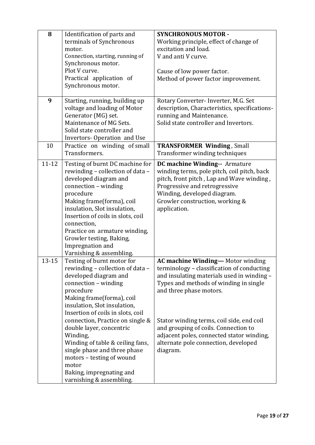| 8         | Identification of parts and<br>terminals of Synchronous<br>motor.<br>Connection, starting, running of<br>Synchronous motor.<br>Plot V curve.                                                                                                                                                                                                                                                                                                                                 | <b>SYNCHRONOUS MOTOR -</b><br>Working principle, effect of change of<br>excitation and load.<br>V and anti V curve.<br>Cause of low power factor.                                                                                                                                                                                                                                              |
|-----------|------------------------------------------------------------------------------------------------------------------------------------------------------------------------------------------------------------------------------------------------------------------------------------------------------------------------------------------------------------------------------------------------------------------------------------------------------------------------------|------------------------------------------------------------------------------------------------------------------------------------------------------------------------------------------------------------------------------------------------------------------------------------------------------------------------------------------------------------------------------------------------|
|           | Practical application of<br>Synchronous motor.                                                                                                                                                                                                                                                                                                                                                                                                                               | Method of power factor improvement.                                                                                                                                                                                                                                                                                                                                                            |
| 9         | Starting, running, building up<br>voltage and loading of Motor<br>Generator (MG) set.<br>Maintenance of MG Sets.<br>Solid state controller and<br>Invertors-Operation and Use                                                                                                                                                                                                                                                                                                | Rotary Converter-Inverter, M.G. Set<br>description, Characteristics, specifications-<br>running and Maintenance.<br>Solid state controller and Invertors.                                                                                                                                                                                                                                      |
| 10        | Practice on winding of small<br>Transformers.                                                                                                                                                                                                                                                                                                                                                                                                                                | <b>TRANSFORMER Winding, Small</b><br>Transformer winding techniques                                                                                                                                                                                                                                                                                                                            |
| $11 - 12$ | Testing of burnt DC machine for<br>rewinding - collection of data -<br>developed diagram and<br>connection - winding<br>procedure<br>Making frame(forma), coil<br>insulation, Slot insulation,<br>Insertion of coils in slots, coil<br>connection,<br>Practice on armature winding,<br>Growler testing, Baking,<br>Impregnation and<br>Varnishing & assembling.                                                                                                              | DC machine Winding-- Armature<br>winding terms, pole pitch, coil pitch, back<br>pitch, front pitch, Lap and Wave winding,<br>Progressive and retrogressive<br>Winding, developed diagram.<br>Growler construction, working &<br>application.                                                                                                                                                   |
| $13 - 15$ | Testing of burnt motor for<br>rewinding - collection of data -<br>developed diagram and<br>connection - winding<br>procedure<br>Making frame(forma), coil<br>insulation, Slot insulation,<br>Insertion of coils in slots, coil<br>connection, Practice on single &<br>double layer, concentric<br>Winding,<br>Winding of table & ceiling fans,<br>single phase and three phase<br>motors - testing of wound<br>motor<br>Baking, impregnating and<br>varnishing & assembling. | <b>AC machine Winding-Motor winding</b><br>terminology - classification of conducting<br>and insulating materials used in winding -<br>Types and methods of winding in single<br>and three phase motors.<br>Stator winding terms, coil side, end coil<br>and grouping of coils. Connection to<br>adjacent poles, connected stator winding,<br>alternate pole connection, developed<br>diagram. |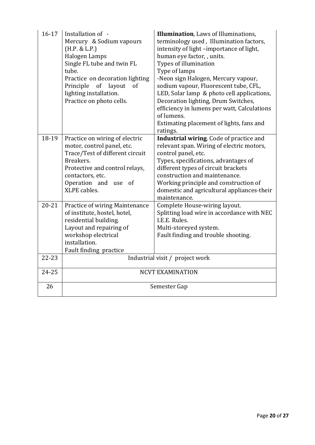| $16 - 17$ | Installation of -<br>Mercury & Sodium vapours<br>(H.P. & L.P.)<br>Halogen Lamps<br>Single FL tube and twin FL<br>tube.<br>Practice on decoration lighting<br>of<br>layout<br>Principle<br>of<br>lighting installation.<br>Practice on photo cells. | Illumination, Laws of Illuminations,<br>terminology used, Illumination factors,<br>intensity of light-importance of light,<br>human eye factor,, units.<br>Types of illumination<br>Type of lamps<br>-Neon sign Halogen, Mercury vapour,<br>sodium vapour, Fluorescent tube, CFL,<br>LED, Solar lamp & photo cell applications,<br>Decoration lighting, Drum Switches,<br>efficiency in lumens per watt, Calculations<br>of lumens.<br>Estimating placement of lights, fans and<br>ratings. |
|-----------|----------------------------------------------------------------------------------------------------------------------------------------------------------------------------------------------------------------------------------------------------|---------------------------------------------------------------------------------------------------------------------------------------------------------------------------------------------------------------------------------------------------------------------------------------------------------------------------------------------------------------------------------------------------------------------------------------------------------------------------------------------|
| 18-19     | Practice on wiring of electric<br>motor, control panel, etc.<br>Trace/Test of different circuit<br>Breakers.<br>Protective and control relays,<br>contactors, etc.<br>Operation and use<br>of<br><b>XLPE</b> cables.                               | Industrial wiring. Code of practice and<br>relevant span. Wiring of electric motors,<br>control panel, etc.<br>Types, specifications, advantages of<br>different types of circuit brackets<br>construction and maintenance.<br>Working principle and construction of<br>domestic and agricultural appliances-their<br>maintenance.                                                                                                                                                          |
| $20 - 21$ | Practice of wiring Maintenance<br>of institute, hostel, hotel,<br>residential building.<br>Layout and repairing of<br>workshop electrical<br>installation.<br>Fault finding practice                                                               | Complete House-wiring layout.<br>Splitting load wire in accordance with NEC<br>I.E.E. Rules.<br>Multi-storeyed system.<br>Fault finding and trouble shooting.                                                                                                                                                                                                                                                                                                                               |
| $22 - 23$ |                                                                                                                                                                                                                                                    | Industrial visit / project work                                                                                                                                                                                                                                                                                                                                                                                                                                                             |
| 24-25     |                                                                                                                                                                                                                                                    | <b>NCVT EXAMINATION</b>                                                                                                                                                                                                                                                                                                                                                                                                                                                                     |
| 26        | Semester Gap                                                                                                                                                                                                                                       |                                                                                                                                                                                                                                                                                                                                                                                                                                                                                             |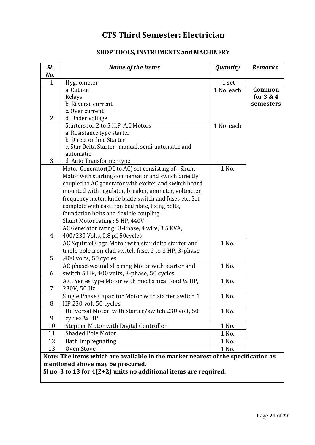## **CTS Third Semester: Electrician**

## **SHOP TOOLS, INSTRUMENTS and MACHINERY**

| Sl.<br>No.                       | Name of the items                                                                 | <b>Quantity</b> | <b>Remarks</b> |
|----------------------------------|-----------------------------------------------------------------------------------|-----------------|----------------|
| $\mathbf{1}$                     | Hygrometer                                                                        | 1 set           |                |
|                                  | a. Cut out                                                                        | 1 No. each      | Common         |
|                                  | Relays                                                                            |                 | for $3 & 4$    |
|                                  | b. Reverse current                                                                |                 | semesters      |
|                                  | c. Over current                                                                   |                 |                |
| $\overline{2}$                   | d. Under voltage                                                                  |                 |                |
|                                  | Starters for 2 to 5 H.P. A.C Motors                                               | 1 No. each      |                |
|                                  | a. Resistance type starter                                                        |                 |                |
|                                  | b. Direct on line Starter                                                         |                 |                |
|                                  | c. Star Delta Starter- manual, semi-automatic and                                 |                 |                |
| 3                                | automatic<br>d. Auto Transformer type                                             |                 |                |
|                                  | Motor Generator(DC to AC) set consisting of - Shunt                               | 1 No.           |                |
|                                  | Motor with starting compensator and switch directly                               |                 |                |
|                                  | coupled to AC generator with exciter and switch board                             |                 |                |
|                                  | mounted with regulator, breaker, ammeter, voltmeter                               |                 |                |
|                                  | frequency meter, knife blade switch and fuses etc. Set                            |                 |                |
|                                  | complete with cast iron bed plate, fixing bolts,                                  |                 |                |
|                                  | foundation bolts and flexible coupling.                                           |                 |                |
|                                  | Shunt Motor rating: 5 HP, 440V                                                    |                 |                |
|                                  | AC Generator rating: 3-Phase, 4 wire, 3.5 KVA,                                    |                 |                |
| 4                                | 400/230 Volts, 0.8 pf, 50cycles                                                   |                 |                |
|                                  | AC Squirrel Cage Motor with star delta starter and                                | 1 No.           |                |
|                                  | triple pole iron clad switch fuse. 2 to 3 HP, 3-phase                             |                 |                |
| 5                                | ,400 volts, 50 cycles                                                             |                 |                |
|                                  | AC phase-wound slip ring Motor with starter and                                   | 1 No.           |                |
| 6                                | switch 5 HP, 400 volts, 3-phase, 50 cycles                                        |                 |                |
|                                  | A.C. Series type Motor with mechanical load 1/4 HP,                               | 1 No.           |                |
| 7                                | 230V, 50 Hz                                                                       |                 |                |
|                                  | Single Phase Capacitor Motor with starter switch 1                                | 1 No.           |                |
| 8                                | HP 230 volt 50 cycles                                                             |                 |                |
|                                  | Universal Motor with starter/switch 230 volt, 50                                  | 1 No.           |                |
| 9                                | cycles 1/4 HP                                                                     |                 |                |
| 10                               | Stepper Motor with Digital Controller                                             | 1 No.           |                |
| 11                               | <b>Shaded Pole Motor</b>                                                          | 1 No.           |                |
| 12                               | <b>Bath Impregnating</b>                                                          | 1 No.           |                |
| 13                               | Oven Stove                                                                        | 1 No.           |                |
|                                  | Note: The items which are available in the market nearest of the specification as |                 |                |
| mentioned above may be procured. |                                                                                   |                 |                |
|                                  | Sl no. 3 to 13 for $4(2+2)$ units no additional items are required.               |                 |                |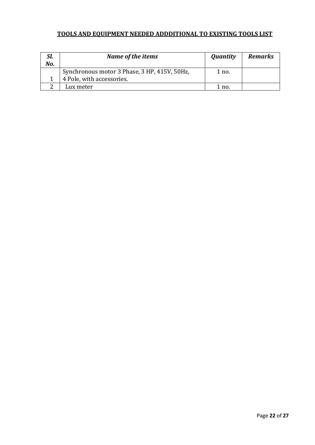## **TOOLS AND EQUIPMENT NEEDED ADDDITIONAL TO EXISTING TOOLS LIST**

| SI.<br>No. | Name of the items                            | Quantity | <b>Remarks</b> |
|------------|----------------------------------------------|----------|----------------|
|            | Synchronous motor 3 Phase, 3 HP, 415V, 50Hz, | 1 no.    |                |
|            | 4 Pole, with accessories.                    |          |                |
|            | Lux meter                                    | 1 no.    |                |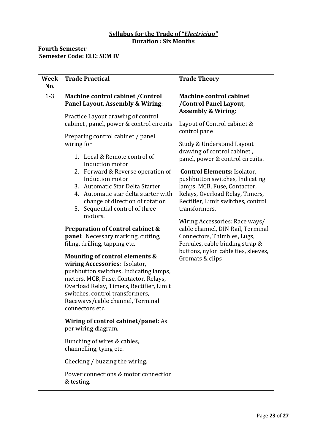### **Syllabus for the Trade of "***Electrician"* **Duration : Six Months**

### **Fourth Semester Semester Code: ELE: SEM IV**

| <b>Week</b><br>No. | <b>Trade Practical</b>                                                                                                                                                                                                                                                                                                                                                                                                                                                                                                                                                                                                                                                                                                                                                                                                                                                                                                                                                                                                                                                                                              | <b>Trade Theory</b>                                                                                                                                                                                                                                                                                                                                                                                                                                                                                                                                                                                                                             |
|--------------------|---------------------------------------------------------------------------------------------------------------------------------------------------------------------------------------------------------------------------------------------------------------------------------------------------------------------------------------------------------------------------------------------------------------------------------------------------------------------------------------------------------------------------------------------------------------------------------------------------------------------------------------------------------------------------------------------------------------------------------------------------------------------------------------------------------------------------------------------------------------------------------------------------------------------------------------------------------------------------------------------------------------------------------------------------------------------------------------------------------------------|-------------------------------------------------------------------------------------------------------------------------------------------------------------------------------------------------------------------------------------------------------------------------------------------------------------------------------------------------------------------------------------------------------------------------------------------------------------------------------------------------------------------------------------------------------------------------------------------------------------------------------------------------|
| $1 - 3$            | Machine control cabinet / Control<br>Panel Layout, Assembly & Wiring:<br>Practice Layout drawing of control<br>cabinet, panel, power & control circuits<br>Preparing control cabinet / panel<br>wiring for<br>1. Local & Remote control of<br>Induction motor<br>2. Forward & Reverse operation of<br>Induction motor<br>3. Automatic Star Delta Starter<br>4. Automatic star delta starter with<br>change of direction of rotation<br>5. Sequential control of three<br>motors.<br><b>Preparation of Control cabinet &amp;</b><br>panel: Necessary marking, cutting,<br>filing, drilling, tapping etc.<br>Mounting of control elements &<br>wiring Accessories: Isolator,<br>pushbutton switches, Indicating lamps,<br>meters, MCB, Fuse, Contactor, Relays,<br>Overload Relay, Timers, Rectifier, Limit<br>switches, control transformers,<br>Raceways/cable channel, Terminal<br>connectors etc.<br>Wiring of control cabinet/panel: As<br>per wiring diagram.<br>Bunching of wires & cables,<br>channelling, tying etc.<br>Checking / buzzing the wiring.<br>Power connections & motor connection<br>& testing. | <b>Machine control cabinet</b><br>/Control Panel Layout,<br><b>Assembly &amp; Wiring:</b><br>Layout of Control cabinet &<br>control panel<br>Study & Understand Layout<br>drawing of control cabinet,<br>panel, power & control circuits.<br><b>Control Elements: Isolator,</b><br>pushbutton switches, Indicating<br>lamps, MCB, Fuse, Contactor,<br>Relays, Overload Relay, Timers,<br>Rectifier, Limit switches, control<br>transformers.<br>Wiring Accessories: Race ways/<br>cable channel, DIN Rail, Terminal<br>Connectors, Thimbles, Lugs,<br>Ferrules, cable binding strap &<br>buttons, nylon cable ties, sleeves,<br>Gromats & clips |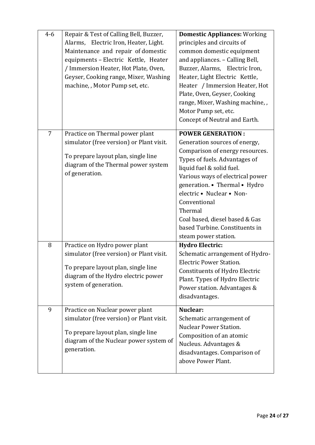| $4 - 6$        | Repair & Test of Calling Bell, Buzzer,<br>Alarms, Electric Iron, Heater, Light.<br>Maintenance and repair of domestic<br>equipments - Electric Kettle, Heater<br>/ Immersion Heater, Hot Plate, Oven,<br>Geyser, Cooking range, Mixer, Washing<br>machine, , Motor Pump set, etc. | <b>Domestic Appliances: Working</b><br>principles and circuits of<br>common domestic equipment<br>and appliances. - Calling Bell,<br>Buzzer, Alarms, Electric Iron,<br>Heater, Light Electric Kettle,<br>Heater / Immersion Heater, Hot<br>Plate, Oven, Geyser, Cooking<br>range, Mixer, Washing machine, ,<br>Motor Pump set, etc.<br>Concept of Neutral and Earth.                |
|----------------|-----------------------------------------------------------------------------------------------------------------------------------------------------------------------------------------------------------------------------------------------------------------------------------|-------------------------------------------------------------------------------------------------------------------------------------------------------------------------------------------------------------------------------------------------------------------------------------------------------------------------------------------------------------------------------------|
| $\overline{7}$ | Practice on Thermal power plant<br>simulator (free version) or Plant visit.<br>To prepare layout plan, single line<br>diagram of the Thermal power system<br>of generation.                                                                                                       | <b>POWER GENERATION:</b><br>Generation sources of energy,<br>Comparison of energy resources.<br>Types of fuels. Advantages of<br>liquid fuel & solid fuel.<br>Various ways of electrical power<br>generation. • Thermal • Hydro<br>electric • Nuclear • Non-<br>Conventional<br>Thermal<br>Coal based, diesel based & Gas<br>based Turbine. Constituents in<br>steam power station. |
| 8              | Practice on Hydro power plant<br>simulator (free version) or Plant visit.<br>To prepare layout plan, single line<br>diagram of the Hydro electric power<br>system of generation.                                                                                                  | <b>Hydro Electric:</b><br>Schematic arrangement of Hydro-<br><b>Electric Power Station.</b><br><b>Constituents of Hydro Electric</b><br>Plant. Types of Hydro Electric<br>Power station. Advantages &<br>disadvantages.                                                                                                                                                             |
| 9              | Practice on Nuclear power plant<br>simulator (free version) or Plant visit.<br>To prepare layout plan, single line<br>diagram of the Nuclear power system of<br>generation.                                                                                                       | Nuclear:<br>Schematic arrangement of<br><b>Nuclear Power Station.</b><br>Composition of an atomic<br>Nucleus. Advantages &<br>disadvantages. Comparison of<br>above Power Plant.                                                                                                                                                                                                    |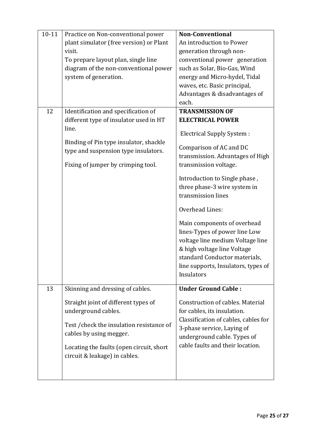| $10 - 11$ | Practice on Non-conventional power<br>plant simulator (free version) or Plant<br>visit.<br>To prepare layout plan, single line<br>diagram of the non-conventional power<br>system of generation.                                                     | <b>Non-Conventional</b><br>An introduction to Power<br>generation through non-<br>conventional power generation<br>such as Solar, Bio-Gas, Wind<br>energy and Micro-hydel, Tidal<br>waves, etc. Basic principal,<br>Advantages & disadvantages of<br>each.                                                                                                                                                                                                                                                 |
|-----------|------------------------------------------------------------------------------------------------------------------------------------------------------------------------------------------------------------------------------------------------------|------------------------------------------------------------------------------------------------------------------------------------------------------------------------------------------------------------------------------------------------------------------------------------------------------------------------------------------------------------------------------------------------------------------------------------------------------------------------------------------------------------|
| 12        | Identification and specification of<br>different type of insulator used in HT<br>line.<br>Binding of Pin type insulator, shackle<br>type and suspension type insulators.<br>Fixing of jumper by crimping tool.                                       | <b>TRANSMISSION OF</b><br><b>ELECTRICAL POWER</b><br>Electrical Supply System :<br>Comparison of AC and DC<br>transmission. Advantages of High<br>transmission voltage.<br>Introduction to Single phase,<br>three phase-3 wire system in<br>transmission lines<br>Overhead Lines:<br>Main components of overhead<br>lines-Types of power line Low<br>voltage line medium Voltage line<br>& high voltage line Voltage<br>standard Conductor materials,<br>line supports, Insulators, types of<br>Insulators |
| 13        | Skinning and dressing of cables.<br>Straight joint of different types of<br>underground cables.<br>Test / check the insulation resistance of<br>cables by using megger.<br>Locating the faults (open circuit, short<br>circuit & leakage) in cables. | <b>Under Ground Cable:</b><br>Construction of cables. Material<br>for cables, its insulation.<br>Classification of cables, cables for<br>3-phase service, Laying of<br>underground cable. Types of<br>cable faults and their location.                                                                                                                                                                                                                                                                     |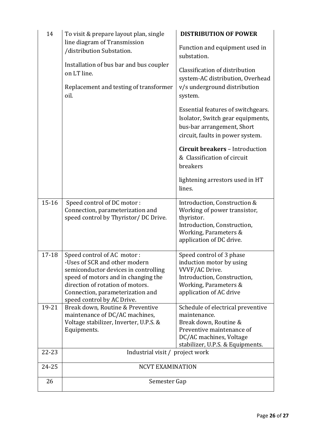| 14        | To visit & prepare layout plan, single<br>line diagram of Transmission<br>/distribution Substation.<br>Installation of bus bar and bus coupler<br>on LT line.<br>Replacement and testing of transformer<br>oil.                                  | <b>DISTRIBUTION OF POWER</b>                                                                                                                                           |  |
|-----------|--------------------------------------------------------------------------------------------------------------------------------------------------------------------------------------------------------------------------------------------------|------------------------------------------------------------------------------------------------------------------------------------------------------------------------|--|
|           |                                                                                                                                                                                                                                                  | Function and equipment used in<br>substation.                                                                                                                          |  |
|           |                                                                                                                                                                                                                                                  | Classification of distribution<br>system-AC distribution, Overhead<br>v/s underground distribution                                                                     |  |
|           |                                                                                                                                                                                                                                                  | system.<br>Essential features of switchgears.<br>Isolator, Switch gear equipments,<br>bus-bar arrangement, Short<br>circuit, faults in power system.                   |  |
|           |                                                                                                                                                                                                                                                  | <b>Circuit breakers - Introduction</b><br>& Classification of circuit<br>breakers                                                                                      |  |
|           |                                                                                                                                                                                                                                                  | lightening arrestors used in HT<br>lines.                                                                                                                              |  |
| $15 - 16$ | Speed control of DC motor:<br>Connection, parameterization and<br>speed control by Thyristor/DC Drive.                                                                                                                                           | Introduction, Construction &<br>Working of power transistor,<br>thyristor.<br>Introduction, Construction,<br>Working, Parameters &<br>application of DC drive.         |  |
| $17 - 18$ | Speed control of AC motor:<br>-Uses of SCR and other modern<br>semiconductor devices in controlling<br>speed of motors and in changing the<br>direction of rotation of motors.<br>Connection, parameterization and<br>speed control by AC Drive. | Speed control of 3 phase<br>induction motor by using<br>VVVF/AC Drive.<br>Introduction, Construction,<br>Working, Parameters &<br>application of AC drive              |  |
| 19-21     | Break down, Routine & Preventive<br>maintenance of DC/AC machines,<br>Voltage stabilizer, Inverter, U.P.S. &<br>Equipments.                                                                                                                      | Schedule of electrical preventive<br>maintenance.<br>Break down, Routine &<br>Preventive maintenance of<br>DC/AC machines, Voltage<br>stabilizer, U.P.S. & Equipments. |  |
| 22-23     | Industrial visit / project work                                                                                                                                                                                                                  |                                                                                                                                                                        |  |
| 24-25     | <b>NCVT EXAMINATION</b>                                                                                                                                                                                                                          |                                                                                                                                                                        |  |
| 26        | Semester Gap                                                                                                                                                                                                                                     |                                                                                                                                                                        |  |